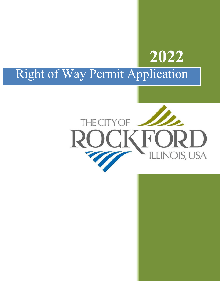## **2022** Right of Way Permit Application